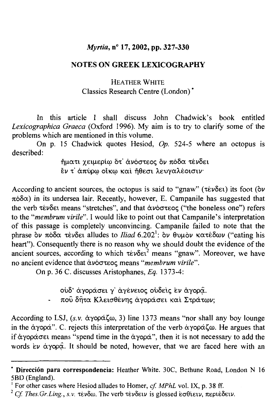## *Myrtia, nº* 17, 2002, pp. 327-330

## **NOTES ON GREEK LEXICOGRAPHY**

## HEATHER WHITE Classics Research Centre (London)\*

In this article I shall discuss John Chadwick's book entitled problems which are mentioned in this volume. raphica Graeca (Oxford 1990). My all it to try to clarity some of the<br>curbich are mentioned in this volume

 $\alpha$  $\mu$  chaused quotes theorem,  $\epsilon_p$ ,  $\epsilon_{p}$ ,  $\epsilon_{p}$ , where described:

ήματι χειμερίω ότ' άνόστεος δν πόδα τένδει  $\mathcal{L}$  are one occurrent sources, the octopus is said to  $\mathcal{L}$ 

According to ancient sources, the octopus is said to "gnaw" (τένδει) its foot (δν  $π$ όδ $α$ ) in its undersea lair. Recently, however, E. Campanile has suggested that the verb τένδει means "stretches", and that άνόστεος ("the boneless one") refers to the "membrum virile". I would like to point out that Campanile's interpretation portion *incritor ant virtic*. I would like to point out that campainte s interpretation  $h_{\text{max}}$  ). Consequently the complete the evidence is not the evidence of the evidence of the evidence of the evidence of the evidence of the evidence of the evidence of the evidence of the evidence of the evidence of th heart"). Consequently there is no reason why we should doubt the evidence of the ancient sources, according to which τένδει<sup>2</sup> means "gnaw". Moreover, we have no ancient evidence that ανόστεος means "*membrum virile*".

 $\mathcal{L}$  are all all all and  $\mathcal{L}$  are  $\mathcal{L}$  and  $\mathcal{L}$  are  $\mathcal{L}$   $\mathcal{L}$  .

ουδ' άγοράσει γ' άγένειος ούδεις εν άγορα.

πού δήτα Κλεισθένης άγοράσει και Στράτων;

According to LSJ, (s.v. άγοράζω, 3) line 1373 means "nor shall any boy lounge in the άγορά". C. rejects this interpretation of the verb άγοράζω. He argues that if άγοράσει means "spend time in the άγορά", then it is not necessary to add the words  $\epsilon \nu$  *a*  $\gamma$ **op** $\alpha$ . It should be noted, however, that we are faced here with an

<sup>\*</sup> Dirección para correspondencia: Heather White. 30C, Bethune Road, *<sup>1</sup>* For other cases where Hesiod alludes to Homer, *cf. MPhL* vol. IX, p. 38 ff.

<sup>&</sup>lt;sup>2</sup> Cf. Thes. Gr. Ling., s.v. τένδω. The verb τένδειν is glossed εσθίειν, περιέδειν.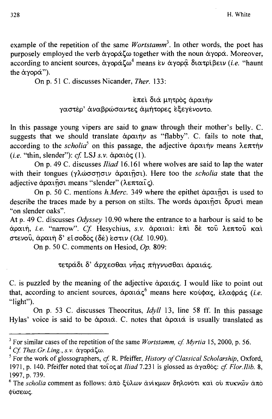example of the repetition of the same Wortstamm<sup>3</sup>. In other words, the poet has purposely employed the verb άγοράζω together with the noun άγορά. Moreover,  $\alpha$  according to ancient sources,  $\alpha$ γοράζω<sup>4</sup> means εν άγορα διατρίβειν (i.e. "haunt" On p. 51 C. discusses Nicander, *Ther.* 133: the άγορά").

έπε ι δ ι ά μητρός άραιή ν

έπει διά μητρός άραιήν γαστέρ' άναβρώσαντες άμήτορες εξεγένοντο.

In this passage young vipers are said to gnaw through their mother's belly. C. suggests that we should translate άραιήν as "flabby". C. fails to note that, *according to the scholia*<sup>5</sup> on this passage, the adjective άραιήν means λεπτήν  $(i.e.$  "thin, slender"): cf. LSJ s.v.  $\alpha \rho \alpha \iota \delta \zeta$  (1).

On p. 49 C. discusses *Iliad* 16.161 where wolves are said to lap the water with their tongues (γλώσσησιν άραιήσι). Here too the scholia state that the adjective άραιήσι means "slender" (λεπταΐς).

On p. 50 C. mentions h. Merc. 349 where the epithet άραι ήσι is used to "on slender oaks". At the discusses *made by a person on strict*. The words apacified opport mean " on slender oaks".<br>At p. 49 C. discusses *Odyssey* 10.90 where the entrance to a harbour is said to be

άραιή, i.e. "narrow". Cf. Hesychius, s.v. άραιαί: επι δέ του λεπτού και στενού, άραιή δ' είσοδός (δέ) εστιν (Od. 10.90).

On p. 50 C. comments on Hesiod,  $Op$ . 809:

c. is pure a meaning of the meaning of the adjective to point of the adjective to point out out of the point o

that, according to ancient sources, and in the according to ancient sources, *c* is puzzled by the meaning of the adjective άραιάς. I would like to point out "light"). On p. 53 C. discusses Theocritus, *Idyll* 13, line 58 ff. In this passage "light").<br>On p. 53 C. discusses Theocritus,  $Idvll$  13, line 58 ff. In this passage

Hylas' voice is said to be  $\alpha$  $\alpha\alpha\alpha$ . C. notes that  $\alpha$  $\alpha\alpha\alpha$  is usually translated as

 $\overline{\text{F}}$  *Cases* of the repetition of the same *Wortstamm, cf. Myrtia* 15, 2000, p. 56.

<sup>1971,</sup> p. 140. Pfeiffer noted that τοϊος at//iW 7.231 is glossed as αγαθός: *cf Flor.Ilib.* 8,  $\frac{1}{2}$ 1971, p. 140. Pfeiffer noted that  $\tau$ οι *o*c at *lliad* 7.231 is glossed as άγαθός: *cf. Flor. Ilib.* 8, 1997, p. 739.

<sup>&</sup>lt;sup>6</sup> The *scholia* comment as follows: άπὸ ξύλων άνίκμων δηλονότι και ου πυκνών άπὸ φύσεως.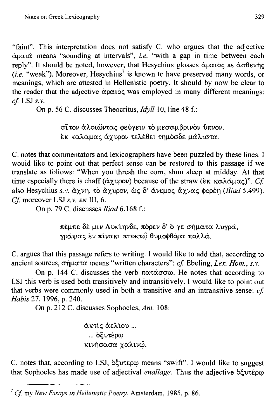"faint". This interpretation does not satisfy C. who argues that the adjective  $\alpha$ ραιά means "sounding at intervals", i.e. "with a gap in time between each  $\frac{1}{2}$  is the model of more preserved many words,  $\frac{1}{2}$  is the second many words, or  $\frac{1}{2}$ reply , it should be noted, nowever, that resigning glosses aparely as above  $\mathfrak{g}_1$ meanings, which are attested in Hellenistic poetry. It should by now be clear to *cf.* LSJ *s.v.* Or that the adjective apares was employed in finant

On p. 56 C. discusses Theocritus,  $Idyll$  10, line 48 f.:

σίτον άλοιώντας φεύγειν το μεσαμβρινον ύπνον. εκ καλάμας άχυρον τελέθει τημόσδε μάλιστα.

C. notes that commentators and lexicographers have been puzzled by these lines. I would like to point out that perfect sense can be restored to this passage if we translate as follows: "When you thresh the corn, shun sleep at midday. At that time especially there is chaff (άχυρον) because of the straw (εκ καλάμας)". Cf. also Hesychius s.v. άχνη. τὸ άχυρον, ώς δ' άνεμος άχνας φορέη (Iliad 5.499). Cf. moreover LSJ s.v.  $k \in \mathbb{N}$  6.

πέμπ ε δ έ μ ι ν Λυκίηνδε , πόρε ν δ ' 6 γ ε σήματ α λυγρά ,

πέμπε δέ μιν Λυκίηνδε, πόρεν δ' ό γε σήματα λυγρά, γράψας εν πίνακι πτυκτώ θυμοφθόρα πολλά.

 $C$ . argues that this passage refers to writing. I would like to add that, according to ancient sources, σήματα means "written characters": cf. Ebeling, Lex. Hom., s.v.

On p. 144 C. discusses the verb  $\pi \alpha \tau \alpha \sigma \sigma \omega$ . He notes that according to LSJ this verb is used both transitively and intransitively. I would like to point out *Habis and very is used be*  $\sigma$  were commonly ascul in both a transitive

On p. 212 C. discusses Sophocles, Ant. 108:

άκτις άελίου... ... οξυτέρω  $C<sub>1</sub>$  notes that, according to suppose the suggests to suggests that, and  $\mathcal{L}$ 

C. notes that, according to LSJ, *οξυτέρω* means "swift". I would like to suggest that Sophocles has made use of adjectival enallage. Thus the adjective of vtepo

<sup>&</sup>lt;sup>7</sup> Cf. my New Essays in Hellenistic Poetry, Amsterdam, 1985, p. 86.